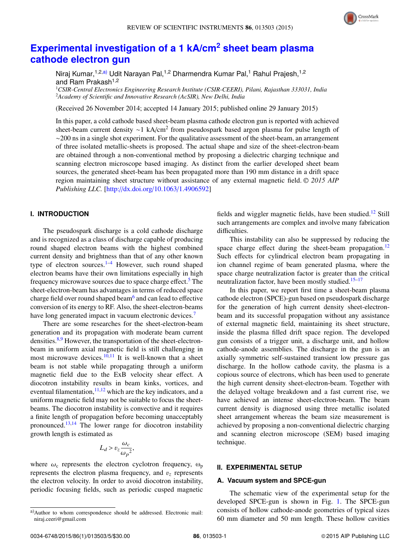

# **Experimental investigation of a 1 kA/cm<sup>2</sup> sheet beam plasma cathode electron gun**

Niraj Kumar, <sup>1,2,a)</sup> Udit Narayan Pal, <sup>1,2</sup> Dharmendra Kumar Pal, <sup>1</sup> Rahul Prajesh, <sup>1,2</sup> and Ram Prakash<sup>1,2</sup>

<sup>1</sup>*CSIR-Central Electronics Engineering Research Institute (CSIR-CEERI), Pilani, Rajasthan 333031, India* <sup>2</sup>*Academy of Scientific and Innovative Research (AcSIR), New Delhi, India*

(Received 26 November 2014; accepted 14 January 2015; published online 29 January 2015)

In this paper, a cold cathode based sheet-beam plasma cathode electron gun is reported with achieved sheet-beam current density ~1 kA/cm<sup>2</sup> from pseudospark based argon plasma for pulse length of ∼200 ns in a single shot experiment. For the qualitative assessment of the sheet-beam, an arrangement of three isolated metallic-sheets is proposed. The actual shape and size of the sheet-electron-beam are obtained through a non-conventional method by proposing a dielectric charging technique and scanning electron microscope based imaging. As distinct from the earlier developed sheet beam sources, the generated sheet-beam has been propagated more than 190 mm distance in a drift space region maintaining sheet structure without assistance of any external magnetic field. <sup>C</sup> *2015 AIP Publishing LLC.* [http://dx.doi.org/10.1063/1.4906592]

# **I. INTRODUCTION**

The pseudospark discharge is a cold cathode discharge and is recognized as a class of discharge capable of producing round shaped electron beams with the highest combined current density and brightness than that of any other known type of electron sources.<sup>1–4</sup> However, such round shaped electron beams have their own limitations especially in high frequency microwave sources due to space charge effect.<sup>5</sup> The sheet-electron-beam has advantages in terms of reduced space charge field over round shaped beam<sup>6</sup> and can lead to effective conversion of its energy to RF. Also, the sheet-electron-beams have long generated impact in vacuum electronic devices.<sup>7</sup>

There are some researches for the sheet-electron-beam generation and its propagation with moderate beam current densities.<sup>8,9</sup> However, the transportation of the sheet-electronbeam in uniform axial magnetic field is still challenging in most microwave devices. $10,11$  It is well-known that a sheet beam is not stable while propagating through a uniform magnetic field due to the ExB velocity shear effect. A diocotron instability results in beam kinks, vortices, and eventual filamentation, $11,12$  which are the key indicators, and a uniform magnetic field may not be suitable to focus the sheetbeams. The diocotron instability is convective and it requires a finite length of propagation before becoming unacceptably pronounced.13,14 The lower range for diocotron instability growth length is estimated as

$$
L_d > v_z \frac{\omega_c}{\omega_p^2},
$$

where  $\omega_c$  represents the electron cyclotron frequency,  $\omega_p$ represents the electron plasma frequency, and  $v<sub>z</sub>$  represents the electron velocity. In order to avoid diocotron instability, periodic focusing fields, such as periodic cusped magnetic fields and wiggler magnetic fields, have been studied.<sup>12</sup> Still such arrangements are complex and involve many fabrication difficulties.

This instability can also be suppressed by reducing the space charge effect during the sheet-beam propagation.<sup>12</sup> Such effects for cylindrical electron beam propagating in ion channel regime of beam generated plasma, where the space charge neutralization factor is greater than the critical neutralization factor, have been mostly studied. $15-17$ 

In this paper, we report first time a sheet-beam plasma cathode electron (SPCE)-gun based on pseudospark discharge for the generation of high current density sheet-electronbeam and its successful propagation without any assistance of external magnetic field, maintaining its sheet structure, inside the plasma filled drift space region. The developed gun consists of a trigger unit, a discharge unit, and hollow cathode-anode assemblies. The discharge in the gun is an axially symmetric self-sustained transient low pressure gas discharge. In the hollow cathode cavity, the plasma is a copious source of electrons, which has been used to generate the high current density sheet-electron-beam. Together with the delayed voltage breakdown and a fast current rise, we have achieved an intense sheet-electron-beam. The beam current density is diagnosed using three metallic isolated sheet arrangement whereas the beam size measurement is achieved by proposing a non-conventional dielectric charging and scanning electron microscope (SEM) based imaging technique.

# **II. EXPERIMENTAL SETUP**

## **A. Vacuum system and SPCE-gun**

The schematic view of the experimental setup for the developed SPCE-gun is shown in Fig. 1. The SPCE-gun consists of hollow cathode-anode geometries of typical sizes 60 mm diameter and 50 mm length. These hollow cavities

a)Author to whom correspondence should be addressed. Electronic mail: niraj.ceeri@gmail.com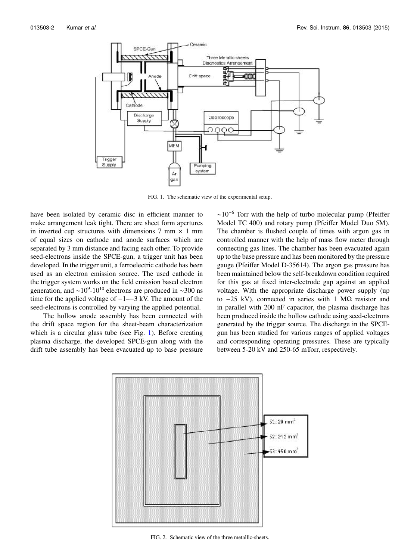

FIG. 1. The schematic view of the experimental setup.

have been isolated by ceramic disc in efficient manner to make arrangement leak tight. There are sheet form apertures in inverted cup structures with dimensions  $7 \text{ mm} \times 1 \text{ mm}$ of equal sizes on cathode and anode surfaces which are separated by 3 mm distance and facing each other. To provide seed-electrons inside the SPCE-gun, a trigger unit has been developed. In the trigger unit, a ferroelectric cathode has been used as an electron emission source. The used cathode in the trigger system works on the field emission based electron generation, and  $\sim$ 10<sup>9</sup>-10<sup>10</sup> electrons are produced in  $\sim$ 300 ns time for the applied voltage of −1–−3 kV. The amount of the seed-electrons is controlled by varying the applied potential.

The hollow anode assembly has been connected with the drift space region for the sheet-beam characterization which is a circular glass tube (see Fig. 1). Before creating plasma discharge, the developed SPCE-gun along with the drift tube assembly has been evacuated up to base pressure  $~\sim$ 10<sup>-6</sup> Torr with the help of turbo molecular pump (Pfeiffer Model TC 400) and rotary pump (Pfeiffer Model Duo 5M). The chamber is flushed couple of times with argon gas in controlled manner with the help of mass flow meter through connecting gas lines. The chamber has been evacuated again up to the base pressure and has been monitored by the pressure gauge (Pfeiffer Model D-35614). The argon gas pressure has been maintained below the self-breakdown condition required for this gas at fixed inter-electrode gap against an applied voltage. With the appropriate discharge power supply (up to  $-25$  kV), connected in series with 1 MΩ resistor and in parallel with 200 nF capacitor, the plasma discharge has been produced inside the hollow cathode using seed-electrons generated by the trigger source. The discharge in the SPCEgun has been studied for various ranges of applied voltages and corresponding operating pressures. These are typically between 5-20 kV and 250-65 mTorr, respectively.



FIG. 2. Schematic view of the three metallic-sheets.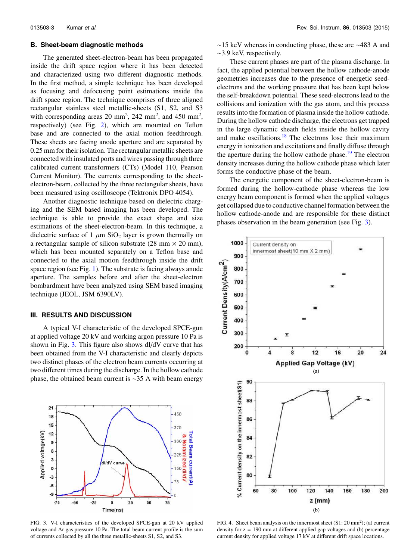#### **B. Sheet-beam diagnostic methods**

The generated sheet-electron-beam has been propagated inside the drift space region where it has been detected and characterized using two different diagnostic methods. In the first method, a simple technique has been developed as focusing and defocusing point estimations inside the drift space region. The technique comprises of three aligned rectangular stainless steel metallic-sheets (S1, S2, and S3 with corresponding areas 20 mm<sup>2</sup>, 242 mm<sup>2</sup>, and 450 mm<sup>2</sup>, respectively) (see Fig. 2), which are mounted on Teflon base and are connected to the axial motion feedthrough. These sheets are facing anode aperture and are separated by 0.25 mm for their isolation. The rectangular metallic sheets are connected with insulated ports and wires passing through three calibrated current transformers (CTs) (Model 110, Pearson Current Monitor). The currents corresponding to the sheetelectron-beam, collected by the three rectangular sheets, have been measured using oscilloscope (Tektronix DPO 4054).

Another diagnostic technique based on dielectric charging and the SEM based imaging has been developed. The technique is able to provide the exact shape and size estimations of the sheet-electron-beam. In this technique, a dielectric surface of 1  $\mu$ m SiO<sub>2</sub> layer is grown thermally on a rectangular sample of silicon substrate  $(28 \text{ mm} \times 20 \text{ mm})$ , which has been mounted separately on a Teflon base and connected to the axial motion feedthrough inside the drift space region (see Fig. 1). The substrate is facing always anode aperture. The samples before and after the sheet-electron bombardment have been analyzed using SEM based imaging technique (JEOL, JSM 6390LV).

#### **III. RESULTS AND DISCUSSION**

A typical V-I characteristic of the developed SPCE-gun at applied voltage 20 kV and working argon pressure 10 Pa is shown in Fig. 3. This figure also shows dI/dV curve that has been obtained from the V-I characteristic and clearly depicts two distinct phases of the electron beam currents occurring at two different times during the discharge. In the hollow cathode phase, the obtained beam current is ∼35 A with beam energy



FIG. 3. V-I characteristics of the developed SPCE-gun at 20 kV applied voltage and Ar gas pressure 10 Pa. The total beam current profile is the sum of currents collected by all the three metallic-sheets S1, S2, and S3.

∼15 keV whereas in conducting phase, these are ∼483 A and ∼3.9 keV, respectively.

These current phases are part of the plasma discharge. In fact, the applied potential between the hollow cathode-anode geometries increases due to the presence of energetic seedelectrons and the working pressure that has been kept below the self-breakdown potential. These seed-electrons lead to the collisions and ionization with the gas atom, and this process results into the formation of plasma inside the hollow cathode. During the hollow cathode discharge, the electrons get trapped in the large dynamic sheath fields inside the hollow cavity and make oscillations. $18$  The electrons lose their maximum energy in ionization and excitations and finally diffuse through the aperture during the hollow cathode phase.<sup>19</sup> The electron density increases during the hollow cathode phase which later forms the conductive phase of the beam.

The energetic component of the sheet-electron-beam is formed during the hollow-cathode phase whereas the low energy beam component is formed when the applied voltages get collapsed due to conductive channel formation between the hollow cathode-anode and are responsible for these distinct phases observation in the beam generation (see Fig. 3).



FIG. 4. Sheet beam analysis on the innermost sheet  $(S1: 20 \text{ mm}^2)$ ; (a) current density for  $z = 190$  mm at different applied gap voltages and (b) percentage current density for applied voltage 17 kV at different drift space locations.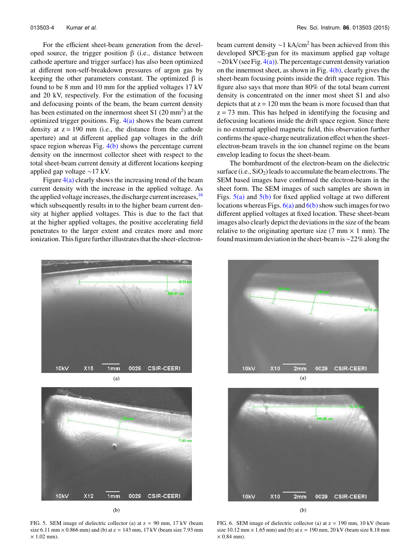For the efficient sheet-beam generation from the developed source, the trigger position  $β$  (i.e., distance between cathode aperture and trigger surface) has also been optimized at different non-self-breakdown pressures of argon gas by keeping the other parameters constant. The optimized  $β$  is found to be 8 mm and 10 mm for the applied voltages 17 kV and 20 kV, respectively. For the estimation of the focusing and defocusing points of the beam, the beam current density has been estimated on the innermost sheet  $S1(20)$  mm<sup>2</sup>) at the optimized trigger positions. Fig.  $4(a)$  shows the beam current density at  $z = 190$  mm (i.e., the distance from the cathode aperture) and at different applied gap voltages in the drift space region whereas Fig.  $4(b)$  shows the percentage current density on the innermost collector sheet with respect to the total sheet-beam current density at different locations keeping applied gap voltage ∼17 kV.

Figure  $4(a)$  clearly shows the increasing trend of the beam current density with the increase in the applied voltage. As the applied voltage increases, the discharge current increases, <sup>16</sup> which subsequently results in to the higher beam current density at higher applied voltages. This is due to the fact that at the higher applied voltages, the positive accelerating field penetrates to the larger extent and creates more and more ionization. This figure further illustrates that the sheet-electronbeam current density ~1 kA/cm<sup>2</sup> has been achieved from this developed SPCE-gun for its maximum applied gap voltage  $\sim$ 20 kV (see Fig. 4(a)). The percentage current density variation on the innermost sheet, as shown in Fig.  $4(b)$ , clearly gives the sheet-beam focusing points inside the drift space region. This figure also says that more than 80% of the total beam current density is concentrated on the inner most sheet S1 and also depicts that at  $z = 120$  mm the beam is more focused than that  $z = 73$  mm. This has helped in identifying the focusing and defocusing locations inside the drift space region. Since there is no external applied magnetic field, this observation further confirms the space-charge neutralization effect when the sheetelectron-beam travels in the ion channel regime on the beam envelop leading to focus the sheet-beam.

The bombardment of the electron-beam on the dielectric surface (i.e.,  $SiO<sub>2</sub>$ ) leads to accumulate the beam electrons. The SEM based images have confirmed the electron-beam in the sheet form. The SEM images of such samples are shown in Figs.  $5(a)$  and  $5(b)$  for fixed applied voltage at two different locations whereas Figs.  $6(a)$  and  $6(b)$  show such images for two different applied voltages at fixed location. These sheet-beam images also clearly depict the deviations in the size of the beam relative to the originating aperture size  $(7 \text{ mm} \times 1 \text{ mm})$ . The found maximum deviation in the sheet-beam is∼22% along the





 $(b)$ 

FIG. 5. SEM image of dielectric collector (a) at  $z = 90$  mm, 17 kV (beam size 6.11 mm  $\times$  0.866 mm) and (b) at z = 143 mm, 17 kV (beam size 7.93 mm  $\times$  1.02 mm).





 $(b)$ 

FIG. 6. SEM image of dielectric collector (a) at  $z = 190$  mm, 10 kV (beam size  $10.12 \text{ mm} \times 1.65 \text{ mm}$ ) and (b) at  $z = 190 \text{ mm}$ ,  $20 \text{ kV}$  (beam size 8.18 mm  $\times$  0.84 mm).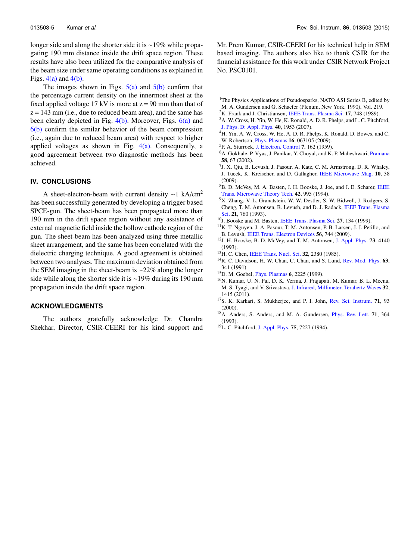longer side and along the shorter side it is ∼19% while propagating 190 mm distance inside the drift space region. These results have also been utilized for the comparative analysis of the beam size under same operating conditions as explained in Figs.  $4(a)$  and  $4(b)$ .

The images shown in Figs.  $5(a)$  and  $5(b)$  confirm that the percentage current density on the innermost sheet at the fixed applied voltage 17 kV is more at  $z = 90$  mm than that of  $z = 143$  mm (i.e., due to reduced beam area), and the same has been clearly depicted in Fig.  $4(b)$ . Moreover, Figs.  $6(a)$  and  $6(b)$  confirm the similar behavior of the beam compression (i.e., again due to reduced beam area) with respect to higher applied voltages as shown in Fig.  $4(a)$ . Consequently, a good agreement between two diagnostic methods has been achieved.

#### **IV. CONCLUSIONS**

A sheet-electron-beam with current density ∼1 kA/cm<sup>2</sup> has been successfully generated by developing a trigger based SPCE-gun. The sheet-beam has been propagated more than 190 mm in the drift space region without any assistance of external magnetic field inside the hollow cathode region of the gun. The sheet-beam has been analyzed using three metallic sheet arrangement, and the same has been correlated with the dielectric charging technique. A good agreement is obtained between two analyses. The maximum deviation obtained from the SEM imaging in the sheet-beam is ∼22% along the longer side while along the shorter side it is ∼19% during its 190 mm propagation inside the drift space region.

## **ACKNOWLEDGMENTS**

The authors gratefully acknowledge Dr. Chandra Shekhar, Director, CSIR-CEERI for his kind support and Mr. Prem Kumar, CSIR-CEERI for his technical help in SEM based imaging. The authors also like to thank CSIR for the financial assistance for this work under CSIR Network Project No. PSC0101.

- <sup>1</sup>The Physics Applications of Pseudosparks, NATO ASI Series B, edited by M. A. Gundersen and G. Schaefer (Plenum, New York, 1990), Vol. 219.
- <sup>2</sup>K. Frank and J. Christiansen, IEEE Trans. Plasma Sci. 17, 748 (1989).
- <sup>3</sup>A. W. Cross, H. Yin, W. He, K. Ronald, A. D. R. Phelps, and L. C. Pitchford, J. Phys. D: Appl. Phys. 40, 1953 (2007).
- <sup>4</sup>H. Yin, A. W. Cross, W. He, A. D. R. Phelps, K. Ronald, D. Bowes, and C. W. Robertson, Phys. Plasmas 16, 063105 (2009).
- <sup>5</sup>P. A. Sturrock, J. Electron. Control 7, 162 (1959).
- <sup>6</sup>A. Gokhale, P. Vyas, J. Panikar, Y. Choyal, and K. P. Maheshwari, *Pramana* 58, 67 (2002).
- 7 J. X. Qiu, B. Levush, J. Pasour, A. Katz, C. M. Armstrong, D. R. Whaley, J. Tucek, K. Kreischer, and D. Gallagher, IEEE Microwave Mag. 10, 38 (2009).
- <sup>8</sup>B. D. McVey, M. A. Basten, J. H. Booske, J. Joe, and J. E. Scharer, IEEE Trans. Microwave Theory Tech. 42, 995 (1994).
- <sup>9</sup>X. Zhang, V. L. Granatstein, W. W. Destler, S. W. Bidwell, J. Rodgers, S. Cheng, T. M. Antonsen, B. Levush, and D. J. Radack, IEEE Trans. Plasma Sci. 21, 760 (1993).
- <sup>10</sup>J. Booske and M. Basten, IEEE Trans. Plasma Sci. 27, 134 (1999).
- <sup>11</sup>K. T. Nguyen, J. A. Pasour, T. M. Antonsen, P. B. Larsen, J. J. Petillo, and B. Levush, IEEE Trans. Electron Devices 56, 744 (2009).
- <sup>12</sup>J. H. Booske, B. D. McVey, and T. M. Antonsen, J. Appl. Phys. 73, 4140 (1993).
- <sup>13</sup>H. C. Chen, IEEE Trans. Nucl. Sci. **32**, 2380 (1985).
- <sup>14</sup>R. C. Davidson, H. W. Chan, C. Chan, and S. Lund, Rev. Mod. Phys. 63, 341 (1991).
- <sup>15</sup>D. M. Goebel, Phys. Plasmas 6, 2225 (1999).
- <sup>16</sup>N. Kumar, U. N. Pal, D. K. Verma, J. Prajapati, M. Kumar, B. L. Meena, M. S. Tyagi, and V. Srivastava, J. Infrared, Millimeter, Terahertz Waves 32, 1415 (2011).
- <sup>17</sup>S. K. Karkari, S. Mukherjee, and P. I. John, Rev. Sci. Instrum. 71, 93 (2000).
- <sup>18</sup>A. Anders, S. Anders, and M. A. Gundersen, *Phys. Rev. Lett.* **71**, 364 (1993).
- <sup>19</sup>L. C. Pitchford, J. Appl. Phys. 75, 7227 (1994).